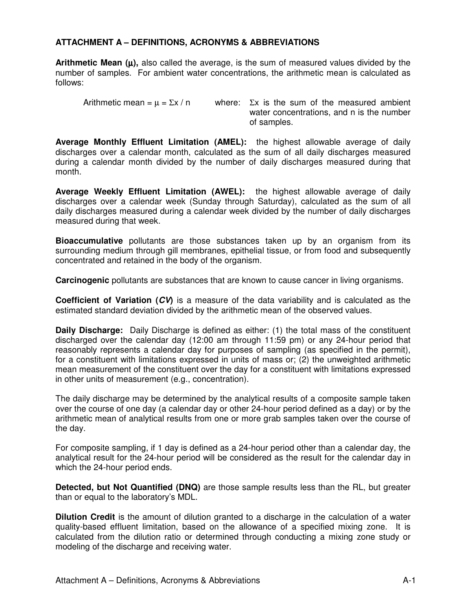## **ATTACHMENT A – DEFINITIONS, ACRONYMS & ABBREVIATIONS**

**Arithmetic Mean**  $(\mu)$ **, also called the average, is the sum of measured values divided by the** number of samples. For ambient water concentrations, the arithmetic mean is calculated as follows:

Arithmetic mean =  $\mu$  =  $\Sigma x / n$  where:  $\Sigma x$  is the sum of the measured ambient water concentrations, and n is the number of samples.

**Average Monthly Effluent Limitation (AMEL):** the highest allowable average of daily discharges over a calendar month, calculated as the sum of all daily discharges measured during a calendar month divided by the number of daily discharges measured during that month.

**Average Weekly Effluent Limitation (AWEL):** the highest allowable average of daily discharges over a calendar week (Sunday through Saturday), calculated as the sum of all daily discharges measured during a calendar week divided by the number of daily discharges measured during that week.

**Bioaccumulative** pollutants are those substances taken up by an organism from its surrounding medium through gill membranes, epithelial tissue, or from food and subsequently concentrated and retained in the body of the organism.

**Carcinogenic** pollutants are substances that are known to cause cancer in living organisms.

**Coefficient of Variation (CV)** is a measure of the data variability and is calculated as the estimated standard deviation divided by the arithmetic mean of the observed values.

**Daily Discharge:** Daily Discharge is defined as either: (1) the total mass of the constituent discharged over the calendar day (12:00 am through 11:59 pm) or any 24-hour period that reasonably represents a calendar day for purposes of sampling (as specified in the permit), for a constituent with limitations expressed in units of mass or; (2) the unweighted arithmetic mean measurement of the constituent over the day for a constituent with limitations expressed in other units of measurement (e.g., concentration).

The daily discharge may be determined by the analytical results of a composite sample taken over the course of one day (a calendar day or other 24-hour period defined as a day) or by the arithmetic mean of analytical results from one or more grab samples taken over the course of the day.

For composite sampling, if 1 day is defined as a 24-hour period other than a calendar day, the analytical result for the 24-hour period will be considered as the result for the calendar day in which the 24-hour period ends.

**Detected, but Not Quantified (DNQ)** are those sample results less than the RL, but greater than or equal to the laboratory's MDL.

**Dilution Credit** is the amount of dilution granted to a discharge in the calculation of a water quality-based effluent limitation, based on the allowance of a specified mixing zone. It is calculated from the dilution ratio or determined through conducting a mixing zone study or modeling of the discharge and receiving water.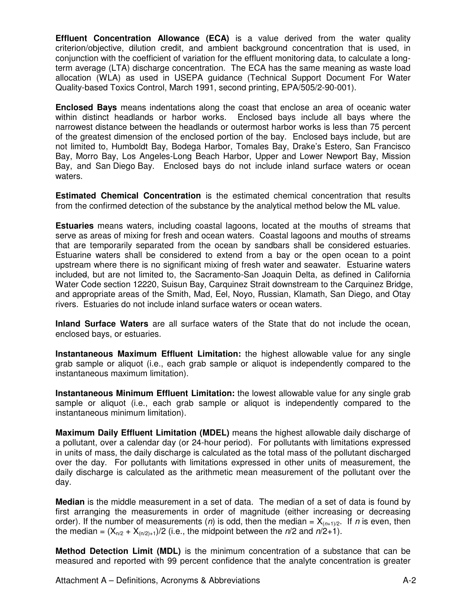**Effluent Concentration Allowance (ECA)** is a value derived from the water quality criterion/objective, dilution credit, and ambient background concentration that is used, in conjunction with the coefficient of variation for the effluent monitoring data, to calculate a longterm average (LTA) discharge concentration. The ECA has the same meaning as waste load allocation (WLA) as used in USEPA guidance (Technical Support Document For Water Quality-based Toxics Control, March 1991, second printing, EPA/505/2-90-001).

**Enclosed Bays** means indentations along the coast that enclose an area of oceanic water within distinct headlands or harbor works. Enclosed bays include all bays where the narrowest distance between the headlands or outermost harbor works is less than 75 percent of the greatest dimension of the enclosed portion of the bay. Enclosed bays include, but are not limited to, Humboldt Bay, Bodega Harbor, Tomales Bay, Drake's Estero, San Francisco Bay, Morro Bay, Los Angeles-Long Beach Harbor, Upper and Lower Newport Bay, Mission Bay, and San Diego Bay. Enclosed bays do not include inland surface waters or ocean waters.

**Estimated Chemical Concentration** is the estimated chemical concentration that results from the confirmed detection of the substance by the analytical method below the ML value.

**Estuaries** means waters, including coastal lagoons, located at the mouths of streams that serve as areas of mixing for fresh and ocean waters. Coastal lagoons and mouths of streams that are temporarily separated from the ocean by sandbars shall be considered estuaries. Estuarine waters shall be considered to extend from a bay or the open ocean to a point upstream where there is no significant mixing of fresh water and seawater. Estuarine waters included, but are not limited to, the Sacramento-San Joaquin Delta, as defined in California Water Code section 12220, Suisun Bay, Carquinez Strait downstream to the Carquinez Bridge, and appropriate areas of the Smith, Mad, Eel, Noyo, Russian, Klamath, San Diego, and Otay rivers. Estuaries do not include inland surface waters or ocean waters.

**Inland Surface Waters** are all surface waters of the State that do not include the ocean, enclosed bays, or estuaries.

**Instantaneous Maximum Effluent Limitation:** the highest allowable value for any single grab sample or aliquot (i.e., each grab sample or aliquot is independently compared to the instantaneous maximum limitation).

**Instantaneous Minimum Effluent Limitation:** the lowest allowable value for any single grab sample or aliquot (i.e., each grab sample or aliquot is independently compared to the instantaneous minimum limitation).

**Maximum Daily Effluent Limitation (MDEL)** means the highest allowable daily discharge of a pollutant, over a calendar day (or 24-hour period). For pollutants with limitations expressed in units of mass, the daily discharge is calculated as the total mass of the pollutant discharged over the day. For pollutants with limitations expressed in other units of measurement, the daily discharge is calculated as the arithmetic mean measurement of the pollutant over the day.

**Median** is the middle measurement in a set of data. The median of a set of data is found by first arranging the measurements in order of magnitude (either increasing or decreasing order). If the number of measurements (n) is odd, then the median =  $X_{(n+1)/2}$ . If n is even, then the median =  $(X_{n/2} + X_{n/2+1})/2$  (i.e., the midpoint between the  $n/2$  and  $n/2+1$ ).

**Method Detection Limit (MDL)** is the minimum concentration of a substance that can be measured and reported with 99 percent confidence that the analyte concentration is greater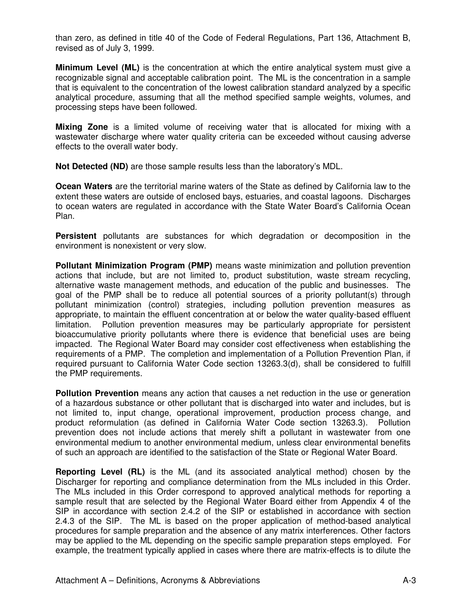than zero, as defined in title 40 of the Code of Federal Regulations, Part 136, Attachment B, revised as of July 3, 1999.

**Minimum Level (ML)** is the concentration at which the entire analytical system must give a recognizable signal and acceptable calibration point. The ML is the concentration in a sample that is equivalent to the concentration of the lowest calibration standard analyzed by a specific analytical procedure, assuming that all the method specified sample weights, volumes, and processing steps have been followed.

**Mixing Zone** is a limited volume of receiving water that is allocated for mixing with a wastewater discharge where water quality criteria can be exceeded without causing adverse effects to the overall water body.

**Not Detected (ND)** are those sample results less than the laboratory's MDL.

**Ocean Waters** are the territorial marine waters of the State as defined by California law to the extent these waters are outside of enclosed bays, estuaries, and coastal lagoons. Discharges to ocean waters are regulated in accordance with the State Water Board's California Ocean Plan.

**Persistent** pollutants are substances for which degradation or decomposition in the environment is nonexistent or very slow.

**Pollutant Minimization Program (PMP)** means waste minimization and pollution prevention actions that include, but are not limited to, product substitution, waste stream recycling, alternative waste management methods, and education of the public and businesses. The goal of the PMP shall be to reduce all potential sources of a priority pollutant(s) through pollutant minimization (control) strategies, including pollution prevention measures as appropriate, to maintain the effluent concentration at or below the water quality-based effluent limitation. Pollution prevention measures may be particularly appropriate for persistent bioaccumulative priority pollutants where there is evidence that beneficial uses are being impacted. The Regional Water Board may consider cost effectiveness when establishing the requirements of a PMP. The completion and implementation of a Pollution Prevention Plan, if required pursuant to California Water Code section 13263.3(d), shall be considered to fulfill the PMP requirements.

**Pollution Prevention** means any action that causes a net reduction in the use or generation of a hazardous substance or other pollutant that is discharged into water and includes, but is not limited to, input change, operational improvement, production process change, and product reformulation (as defined in California Water Code section 13263.3). Pollution prevention does not include actions that merely shift a pollutant in wastewater from one environmental medium to another environmental medium, unless clear environmental benefits of such an approach are identified to the satisfaction of the State or Regional Water Board.

**Reporting Level (RL)** is the ML (and its associated analytical method) chosen by the Discharger for reporting and compliance determination from the MLs included in this Order. The MLs included in this Order correspond to approved analytical methods for reporting a sample result that are selected by the Regional Water Board either from Appendix 4 of the SIP in accordance with section 2.4.2 of the SIP or established in accordance with section 2.4.3 of the SIP. The ML is based on the proper application of method-based analytical procedures for sample preparation and the absence of any matrix interferences. Other factors may be applied to the ML depending on the specific sample preparation steps employed. For example, the treatment typically applied in cases where there are matrix-effects is to dilute the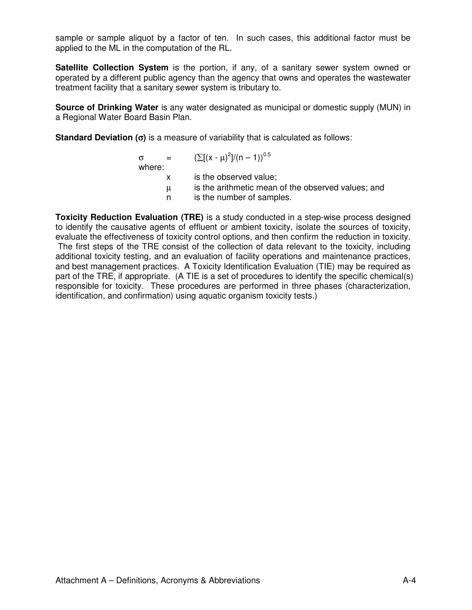sample or sample aliquot by a factor of ten. In such cases, this additional factor must be applied to the ML in the computation of the RL.

**Satellite Collection System** is the portion, if any, of a sanitary sewer system owned or operated by a different public agency than the agency that owns and operates the wastewater treatment facility that a sanitary sewer system is tributary to.

**Source of Drinking Water** is any water designated as municipal or domestic supply (MUN) in a Regional Water Board Basin Plan.

**Standard Deviation (**σ**)** is a measure of variability that is calculated as follows:

| $\alpha = 1$<br>where: | $(\sum [(x - \mu)^2]/(n - 1))^{0.5}$                                            |
|------------------------|---------------------------------------------------------------------------------|
|                        | is the observed value;                                                          |
| $\mu$                  | is the arithmetic mean of the observed values; and<br>is the number of samples. |

**Toxicity Reduction Evaluation (TRE)** is a study conducted in a step-wise process designed to identify the causative agents of effluent or ambient toxicity, isolate the sources of toxicity, evaluate the effectiveness of toxicity control options, and then confirm the reduction in toxicity. The first steps of the TRE consist of the collection of data relevant to the toxicity, including additional toxicity testing, and an evaluation of facility operations and maintenance practices, and best management practices. A Toxicity Identification Evaluation (TIE) may be required as part of the TRE, if appropriate. (A TIE is a set of procedures to identify the specific chemical(s) responsible for toxicity. These procedures are performed in three phases (characterization, identification, and confirmation) using aquatic organism toxicity tests.)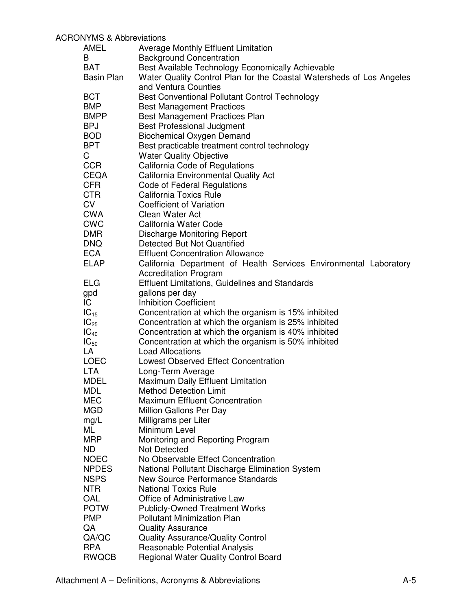## ACRONYMS & Abbreviations

| AMEL              | <b>Average Monthly Effluent Limitation</b>                           |
|-------------------|----------------------------------------------------------------------|
| B                 | <b>Background Concentration</b>                                      |
| <b>BAT</b>        | Best Available Technology Economically Achievable                    |
| <b>Basin Plan</b> | Water Quality Control Plan for the Coastal Watersheds of Los Angeles |
|                   | and Ventura Counties                                                 |
| <b>BCT</b>        | <b>Best Conventional Pollutant Control Technology</b>                |
| <b>BMP</b>        | <b>Best Management Practices</b>                                     |
| <b>BMPP</b>       | <b>Best Management Practices Plan</b>                                |
| <b>BPJ</b>        | <b>Best Professional Judgment</b>                                    |
| <b>BOD</b>        | <b>Biochemical Oxygen Demand</b>                                     |
| <b>BPT</b>        | Best practicable treatment control technology                        |
| C                 | <b>Water Quality Objective</b>                                       |
| <b>CCR</b>        | California Code of Regulations                                       |
| <b>CEQA</b>       | California Environmental Quality Act                                 |
| <b>CFR</b>        | Code of Federal Regulations                                          |
| <b>CTR</b>        | <b>California Toxics Rule</b>                                        |
| <b>CV</b>         | <b>Coefficient of Variation</b>                                      |
| <b>CWA</b>        | Clean Water Act                                                      |
| <b>CWC</b>        | California Water Code                                                |
| <b>DMR</b>        | <b>Discharge Monitoring Report</b>                                   |
| <b>DNQ</b>        | Detected But Not Quantified                                          |
| <b>ECA</b>        | <b>Effluent Concentration Allowance</b>                              |
| <b>ELAP</b>       | California Department of Health Services Environmental Laboratory    |
|                   | <b>Accreditation Program</b>                                         |
| <b>ELG</b>        | <b>Effluent Limitations, Guidelines and Standards</b>                |
| gpd               | gallons per day                                                      |
| IC                | <b>Inhibition Coefficient</b>                                        |
| $IC_{15}$         | Concentration at which the organism is 15% inhibited                 |
| $IC_{25}$         | Concentration at which the organism is 25% inhibited                 |
| $IC_{40}$         | Concentration at which the organism is 40% inhibited                 |
| $IC_{50}$         | Concentration at which the organism is 50% inhibited                 |
| LA                | <b>Load Allocations</b>                                              |
| <b>LOEC</b>       | <b>Lowest Observed Effect Concentration</b>                          |
| <b>LTA</b>        | Long-Term Average                                                    |
| <b>MDEL</b>       | <b>Maximum Daily Effluent Limitation</b>                             |
| MDL               | <b>Method Detection Limit</b>                                        |
| <b>MEC</b>        | <b>Maximum Effluent Concentration</b>                                |
| <b>MGD</b>        | Million Gallons Per Day                                              |
| mg/L              | Milligrams per Liter                                                 |
| ML                | Minimum Level                                                        |
| <b>MRP</b>        | Monitoring and Reporting Program                                     |
| ND.               | <b>Not Detected</b>                                                  |
| <b>NOEC</b>       | No Observable Effect Concentration                                   |
| <b>NPDES</b>      | National Pollutant Discharge Elimination System                      |
| <b>NSPS</b>       | New Source Performance Standards                                     |
| <b>NTR</b>        | <b>National Toxics Rule</b>                                          |
| OAL               | Office of Administrative Law                                         |
| <b>POTW</b>       | <b>Publicly-Owned Treatment Works</b>                                |
| <b>PMP</b>        | <b>Pollutant Minimization Plan</b>                                   |
| QA                | <b>Quality Assurance</b>                                             |
| QA/QC             | <b>Quality Assurance/Quality Control</b>                             |
| <b>RPA</b>        | Reasonable Potential Analysis                                        |
| <b>RWQCB</b>      | <b>Regional Water Quality Control Board</b>                          |